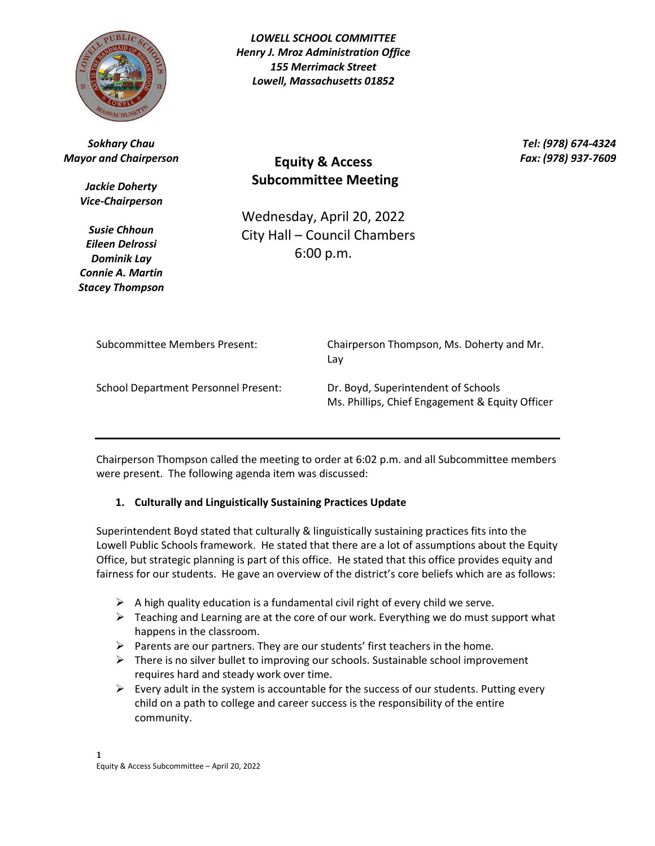

*LOWELL SCHOOL COMMITTEE Henry J. Mroz Administration Office 155 Merrimack Street Lowell, Massachusetts 01852*

*Sokhary Chau Mayor and Chairperson*

> *Jackie Doherty Vice-Chairperson*

> *Susie Chhoun Eileen Delrossi Dominik Lay Connie A. Martin Stacey Thompson*

**Equity & Access Subcommittee Meeting**

*Tel: (978) 674-4324 Fax: (978) 937-7609*

Wednesday, April 20, 2022 City Hall – Council Chambers 6:00 p.m.

Subcommittee Members Present: Chairperson Thompson, Ms. Doherty and Mr. Lay

School Department Personnel Present: Dr. Boyd, Superintendent of Schools

Ms. Phillips, Chief Engagement & Equity Officer

Chairperson Thompson called the meeting to order at 6:02 p.m. and all Subcommittee members were present. The following agenda item was discussed:

## **1. Culturally and Linguistically Sustaining Practices Update**

Superintendent Boyd stated that culturally & linguistically sustaining practices fits into the Lowell Public Schools framework. He stated that there are a lot of assumptions about the Equity Office, but strategic planning is part of this office. He stated that this office provides equity and fairness for our students. He gave an overview of the district's core beliefs which are as follows:

- $\triangleright$  A high quality education is a fundamental civil right of every child we serve.
- $\triangleright$  Teaching and Learning are at the core of our work. Everything we do must support what happens in the classroom.
- $\triangleright$  Parents are our partners. They are our students' first teachers in the home.
- $\triangleright$  There is no silver bullet to improving our schools. Sustainable school improvement requires hard and steady work over time.
- $\triangleright$  Every adult in the system is accountable for the success of our students. Putting every child on a path to college and career success is the responsibility of the entire community.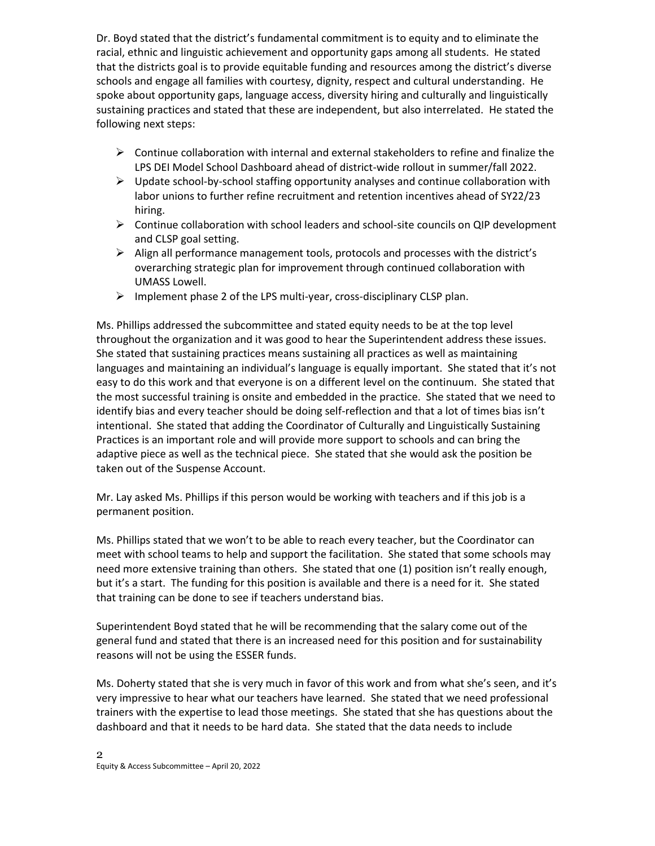Dr. Boyd stated that the district's fundamental commitment is to equity and to eliminate the racial, ethnic and linguistic achievement and opportunity gaps among all students. He stated that the districts goal is to provide equitable funding and resources among the district's diverse schools and engage all families with courtesy, dignity, respect and cultural understanding. He spoke about opportunity gaps, language access, diversity hiring and culturally and linguistically sustaining practices and stated that these are independent, but also interrelated. He stated the following next steps:

- $\triangleright$  Continue collaboration with internal and external stakeholders to refine and finalize the LPS DEI Model School Dashboard ahead of district-wide rollout in summer/fall 2022.
- $\triangleright$  Update school-by-school staffing opportunity analyses and continue collaboration with labor unions to further refine recruitment and retention incentives ahead of SY22/23 hiring.
- $\triangleright$  Continue collaboration with school leaders and school-site councils on QIP development and CLSP goal setting.
- $\triangleright$  Align all performance management tools, protocols and processes with the district's overarching strategic plan for improvement through continued collaboration with UMASS Lowell.
- $\triangleright$  Implement phase 2 of the LPS multi-year, cross-disciplinary CLSP plan.

Ms. Phillips addressed the subcommittee and stated equity needs to be at the top level throughout the organization and it was good to hear the Superintendent address these issues. She stated that sustaining practices means sustaining all practices as well as maintaining languages and maintaining an individual's language is equally important. She stated that it's not easy to do this work and that everyone is on a different level on the continuum. She stated that the most successful training is onsite and embedded in the practice. She stated that we need to identify bias and every teacher should be doing self-reflection and that a lot of times bias isn't intentional. She stated that adding the Coordinator of Culturally and Linguistically Sustaining Practices is an important role and will provide more support to schools and can bring the adaptive piece as well as the technical piece. She stated that she would ask the position be taken out of the Suspense Account.

Mr. Lay asked Ms. Phillips if this person would be working with teachers and if this job is a permanent position.

Ms. Phillips stated that we won't to be able to reach every teacher, but the Coordinator can meet with school teams to help and support the facilitation. She stated that some schools may need more extensive training than others. She stated that one (1) position isn't really enough, but it's a start. The funding for this position is available and there is a need for it. She stated that training can be done to see if teachers understand bias.

Superintendent Boyd stated that he will be recommending that the salary come out of the general fund and stated that there is an increased need for this position and for sustainability reasons will not be using the ESSER funds.

Ms. Doherty stated that she is very much in favor of this work and from what she's seen, and it's very impressive to hear what our teachers have learned. She stated that we need professional trainers with the expertise to lead those meetings. She stated that she has questions about the dashboard and that it needs to be hard data. She stated that the data needs to include